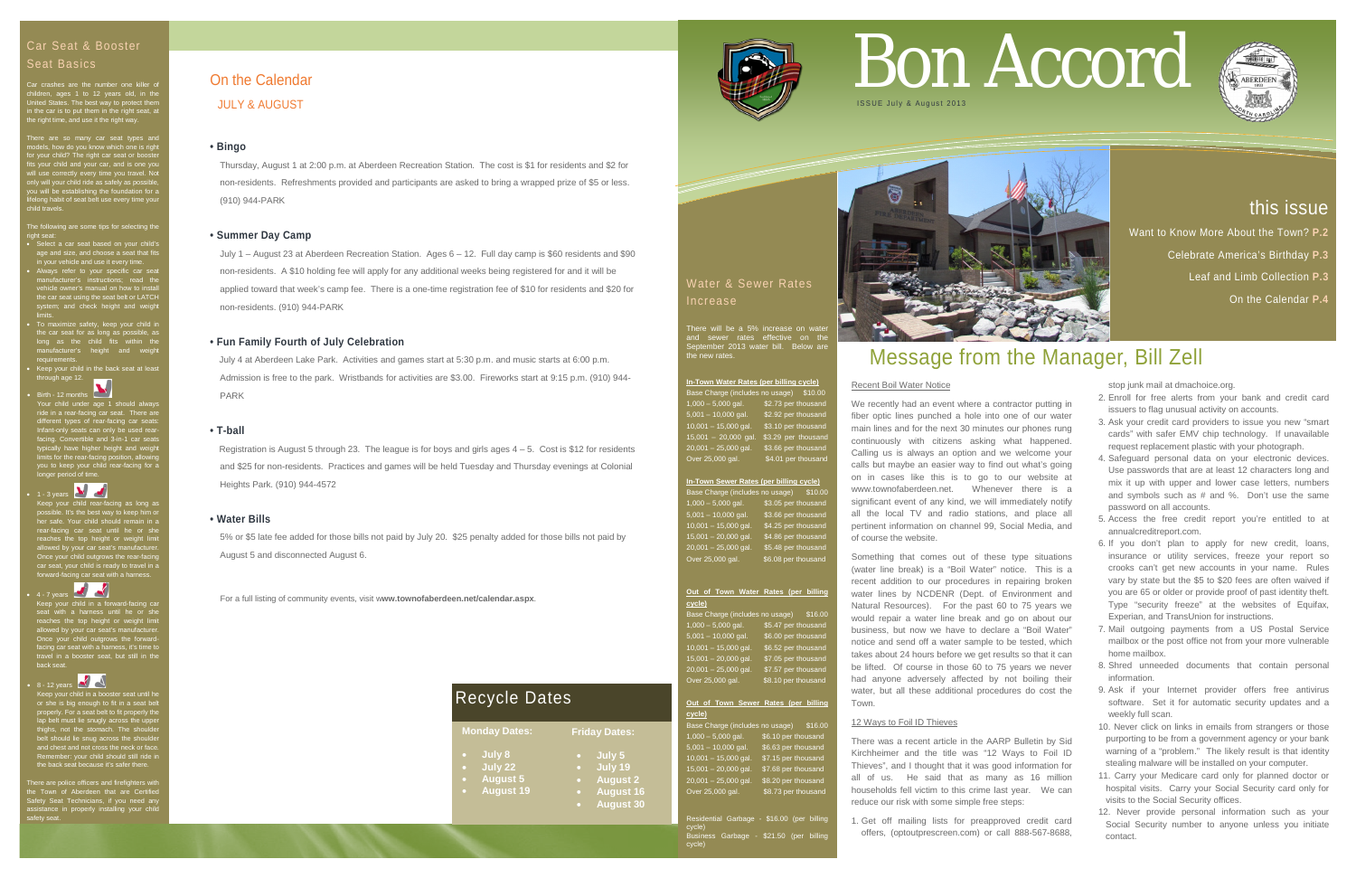For a full listing of community events, visit w**ww.townofaberdeen.net/calendar.aspx**.

## On the Calendar

JULY & AUGUST

### **• Bingo**

Thursday, August 1 at 2:00 p.m. at Aberdeen Recreation Station. The cost is \$1 for residents and \$2 for non-residents. Refreshments provided and participants are asked to bring a wrapped prize of \$5 or less. (910) 944-PARK

### **• Summer Day Camp**

July 1 – August 23 at Aberdeen Recreation Station. Ages 6 – 12. Full day camp is \$60 residents and \$90 non-residents. A \$10 holding fee will apply for any additional weeks being registered for and it will be applied toward that week's camp fee. There is a one-time registration fee of \$10 for residents and \$20 for non-residents. (910) 944-PARK

Registration is August 5 through 23. The league is for boys and girls ages  $4 - 5$ . Cost is \$12 for residents and \$25 for non-residents. Practices and games will be held Tuesday and Thursday evenings at Colonial Heights Park. (910) 944-4572

### **• Fun Family Fourth of July Celebration**

 July 4 at Aberdeen Lake Park. Activities and games start at 5:30 p.m. and music starts at 6:00 p.m. Admission is free to the park. Wristbands for activities are \$3.00. Fireworks start at 9:15 p.m. (910) 944- PARK

### **• T-ball**

he following are some tips for selecting the right seat:

- Select a car seat based on your child's age and size, and choose a seat that fits
- in your vehicle and use it every time. Always refer to your specific car seat manufacturer's instructions; read the vehicle owner's manual on how to install the car seat using the seat belt or LATCH system; and check height and weight limits.
- To maximize safety, keep your child in the car seat for as long as possible, as long as the child fits within the manufacturer's height and weight requirements.
- ······<br>r child in the back seat at leas teep your **compa**<br>hrough age 12.

### **• Water Bills**

5% or \$5 late fee added for those bills not paid by July 20. \$25 penalty added for those bills not paid by August 5 and disconnected August 6.

### Seat Basics

Birth - 12 months Your child under age 1 should always ride in a rear-facing car seat. There are different types of rear-facing car seats: Infant-only seats can only be used rearfacing. Convertible and 3-in-1 car seats typically have higher height and weight limits for the rear-facing position, allowing you to keep your child rear-facing for a longer period of time.

children, ages 1 to 12 years old, in the United States. The best way to protect them in the car is to put them in the right seat, at the right time, and use it the right way.

There are so many car seat types and models, how do you know which one is right for your child? The right car seat or booster fits your child and your car, and is one you will use correctly every time you travel. Not only will your child ride as safely as possible, you will be establishing the foundation for a lifelong habit of seat belt use every time your child travels.

ild in a booster seat until he or she is big enough to fit in a seat belt properly. For a seat belt to fit properly the lap belt must lie snugly across the upper thighs, not the stomach. The shoulder belt should lie snug across the shoulder and chest and not cross the neck or face. Remember: your child should still ride in the back seat because it's safer there.

There will be a 5% increase on water and sewer rates effective on the September 2013 water bill. Below are the new rates.

ntial Garbage - \$16.00 (per billing cycle) Business Garbage - \$21.50 (per billing cycle)



• 1 - 3 years

Keep your child rear-facing as long as possible. It's the best way to keep him or her safe. Your child should remain in a rear-facing car seat until he or she reaches the top height or weight limit allowed by your car seat's manufacturer. Once your child outgrows the rear-facing car seat, your child is ready to travel in a forward-facing car seat with a harness.



Keep your child in a forward-facing car seat with a harness until he or she reaches the top height or weight limit allowed by your car seat's manufacturer. Once your child outgrows the forwardfacing car seat with a harness, it's time to travel in a booster seat, but still in the back seat.

 $• 8 - 12$  years

There are police officers and firefighters with the Town of Aberdeen that are Certified Safety Seat Technicians, if you need any assistance in properly installing your child safety seat. Water & Sewer Rates Increase

### **In-Town Water Rates (per billing cycle)**

Base Charge (includes no usage) \$10.00 1,000 – 5,000 gal. \$2.73 per thousand 5,001 – 10,000 gal. \$2.92 per thousand 10,001 – 15,000 gal. \$3.10 per thousand  $15,001 - 20,000$  gal. \$3,29 per thousan 20,001 – 25,000 gal. \$3.66 per thousand Over 25,000 gal. \$4.01 per thousand

### **In-Town Sewer Rates (per billing cycle)**

Base Charge (includes no usage) \$10.00 1,000 – 5,000 gal. \$3.05 per thousand 5,001 – 10,000 gal. \$3.66 per thousand  $\overline{\$4.25}$  per thousand  $$4.86$  per thousand<br> $$5.48$  per thousand  $20.001 - 25.000$  gal. Over 25,000 gal. \$6,08 per thousand

### **Out of Town Water Rates (per billing cycle)**

| Base Charge (includes no usage) | \$16.00             |  |
|---------------------------------|---------------------|--|
| $1,000 - 5,000$ gal.            | \$5.47 per thousand |  |
| $5,001 - 10,000$ gal.           | \$6.00 per thousand |  |
| $10,001 - 15,000$ gal.          | \$6.52 per thousand |  |
| $15,001 - 20,000$ gal.          | \$7.05 per thousand |  |
| $20,001 - 25,000$ gal.          | \$7.57 per thousand |  |
| Over 25,000 gal.                | \$8.10 per thousand |  |

### **Out of Town Sewer Rates (per billing cycle)**

Base Charge (includes no usage) \$16.00 1,000 – 5,000 gal. \$6.10 per thousand 5,001 – 10,000 gal. \$6.63 per thousand  $10,001 - 15,000$  gal.  $$7.15$  per thousand 15,001 – 20,000 gal. \$7.68 per thousand 20,001 – 25,000 gal. \$8.20 per thousand Over 25,000 gal. \$8.73 per thousand

## Message from the Manager, Bill Zell

### Recent Boil Water Notice

We recently had an event where a contractor putting in fiber optic lines punched a hole into one of our water main lines and for the next 30 minutes our phones rung continuously with citizens asking what happened. Calling us is always an option and we welcome your calls but maybe an easier way to find out what's going on in cases like this is to go to our website at www.townofaberdeen.net. Whenever there is a significant event of any kind, we will immediately notify all the local TV and radio stations, and place all pertinent information on channel 99, Social Media, and of course the website.

Something that comes out of these type situations (water line break) is a "Boil Water" notice. This is a recent addition to our procedures in repairing broken water lines by NCDENR (Dept. of Environment and Natural Resources). For the past 60 to 75 years we would repair a water line break and go on about our business, but now we have to declare a "Boil Water" notice and send off a water sample to be tested, which takes about 24 hours before we get results so that it can be lifted. Of course in those 60 to 75 years we never had anyone adversely affected by not boiling their water, but all these additional procedures do cost the Town.

### 12 Ways to Foil ID Thieves

There was a recent article in the AARP Bulletin by Sid Kirchheimer and the title was "12 Ways to Foil ID Thieves", and I thought that it was good information for all of us. He said that as many as 16 million households fell victim to this crime last year. We can reduce our risk with some simple free steps:

1. Get off mailing lists for preapproved credit card offers, (optoutprescreen.com) or call 888-567-8688,

# Car Seat & Booster<br>Seat Basics<br>Car crashes are the number one killer of **Carrow on the Calendar**



stop junk mail at dmachoice.org.

- 2. Enroll for free alerts from your bank and credit card issuers to flag unusual activity on accounts.
- 3. Ask your credit card providers to issue you new "smart cards" with safer EMV chip technology. If unavailable request replacement plastic with your photograph.
- 4. Safeguard personal data on your electronic devices. Use passwords that are at least 12 characters long and mix it up with upper and lower case letters, numbers and symbols such as # and %. Don't use the same password on all accounts.
- 5. Access the free credit report you're entitled to at annualcreditreport.com.
- 6. If you don't plan to apply for new credit, loans, insurance or utility services, freeze your report so crooks can't get new accounts in your name. Rules vary by state but the \$5 to \$20 fees are often waived if you are 65 or older or provide proof of past identity theft. Type "security freeze" at the websites of Equifax, Experian, and TransUnion for instructions.
- 7. Mail outgoing payments from a US Postal Service mailbox or the post office not from your more vulnerable home mailbox.
- 8. Shred unneeded documents that contain personal information.
- 9. Ask if your Internet provider offers free antivirus software. Set it for automatic security updates and a weekly full scan.
- 10. Never click on links in emails from strangers or those purporting to be from a government agency or your bank warning of a "problem." The likely result is that identity stealing malware will be installed on your computer.
- 11. Carry your Medicare card only for planned doctor or hospital visits. Carry your Social Security card only for visits to the Social Security offices.
- 12. Never provide personal information such as your Social Security number to anyone unless you initiate contact.

## this issue

Want to Know More About the Town? **P.2**

Celebrate America's Birthday **P.3**

Leaf and Limb Collection **P.3**

On the Calendar **P.4**



| <b>Monday Dates:</b> |                  | <b>Friday Dates:</b> |                  |
|----------------------|------------------|----------------------|------------------|
|                      | July 8           |                      | July 5           |
|                      | July 22          | $\bullet$            | July 19          |
|                      | <b>August 5</b>  | $\bullet$            | <b>August 2</b>  |
|                      | <b>August 19</b> | о                    | <b>August 16</b> |
|                      |                  | n                    | <b>August 30</b> |